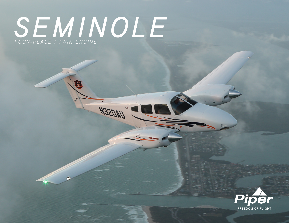# **SEMINOLE**

**M3SOMN**